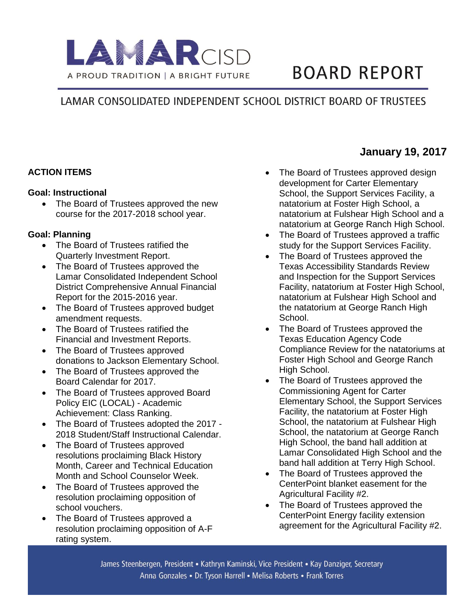

# **BOARD REPORT**

## LAMAR CONSOLIDATED INDEPENDENT SCHOOL DISTRICT BOARD OF TRUSTEES

#### **ACTION ITEMS**

#### **Goal: Instructional**

• The Board of Trustees approved the new course for the 2017-2018 school year.

#### **Goal: Planning**

- The Board of Trustees ratified the Quarterly Investment Report.
- The Board of Trustees approved the Lamar Consolidated Independent School District Comprehensive Annual Financial Report for the 2015-2016 year.
- The Board of Trustees approved budget amendment requests.
- The Board of Trustees ratified the Financial and Investment Reports.
- The Board of Trustees approved donations to Jackson Elementary School.
- The Board of Trustees approved the Board Calendar for 2017.
- The Board of Trustees approved Board Policy EIC (LOCAL) - Academic Achievement: Class Ranking.
- The Board of Trustees adopted the 2017 -2018 Student/Staff Instructional Calendar.
- The Board of Trustees approved resolutions proclaiming Black History Month, Career and Technical Education Month and School Counselor Week.
- The Board of Trustees approved the resolution proclaiming opposition of school vouchers.
- The Board of Trustees approved a resolution proclaiming opposition of A-F rating system.
- The Board of Trustees approved design development for Carter Elementary School, the Support Services Facility, a natatorium at Foster High School, a natatorium at Fulshear High School and a natatorium at George Ranch High School.
- The Board of Trustees approved a traffic study for the Support Services Facility.
- The Board of Trustees approved the Texas Accessibility Standards Review and Inspection for the Support Services Facility, natatorium at Foster High School, natatorium at Fulshear High School and the natatorium at George Ranch High School.
- The Board of Trustees approved the Texas Education Agency Code Compliance Review for the natatoriums at Foster High School and George Ranch High School.
- The Board of Trustees approved the Commissioning Agent for Carter Elementary School, the Support Services Facility, the natatorium at Foster High School, the natatorium at Fulshear High School, the natatorium at George Ranch High School, the band hall addition at Lamar Consolidated High School and the band hall addition at Terry High School.
- The Board of Trustees approved the CenterPoint blanket easement for the Agricultural Facility #2.
- The Board of Trustees approved the CenterPoint Energy facility extension agreement for the Agricultural Facility #2.

### **January 19, 2017**